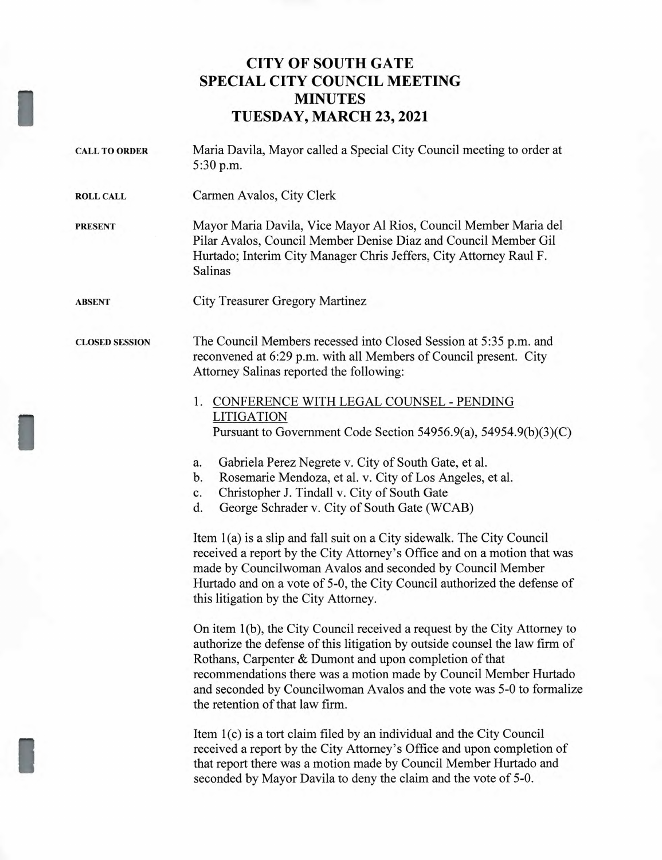## **CITY OF SOUTH GATE SPECIAL CITY COUNCIL MEETING MINUTES TUESDAY, MARCH 23, 2021**

| <b>CALL TO ORDER</b>  | Maria Davila, Mayor called a Special City Council meeting to order at<br>5:30 p.m.                                                                                                                                                                                                                                                                                                                   |
|-----------------------|------------------------------------------------------------------------------------------------------------------------------------------------------------------------------------------------------------------------------------------------------------------------------------------------------------------------------------------------------------------------------------------------------|
| <b>ROLL CALL</b>      | Carmen Avalos, City Clerk                                                                                                                                                                                                                                                                                                                                                                            |
| <b>PRESENT</b>        | Mayor Maria Davila, Vice Mayor Al Rios, Council Member Maria del<br>Pilar Avalos, Council Member Denise Diaz and Council Member Gil<br>Hurtado; Interim City Manager Chris Jeffers, City Attorney Raul F.<br><b>Salinas</b>                                                                                                                                                                          |
| ABSENT                | <b>City Treasurer Gregory Martinez</b>                                                                                                                                                                                                                                                                                                                                                               |
| <b>CLOSED SESSION</b> | The Council Members recessed into Closed Session at 5:35 p.m. and<br>reconvened at 6:29 p.m. with all Members of Council present. City<br>Attorney Salinas reported the following:                                                                                                                                                                                                                   |
|                       | 1. CONFERENCE WITH LEGAL COUNSEL - PENDING<br><b>LITIGATION</b><br>Pursuant to Government Code Section 54956.9(a), 54954.9(b)(3)(C)                                                                                                                                                                                                                                                                  |
|                       | Gabriela Perez Negrete v. City of South Gate, et al.<br>a.<br>Rosemarie Mendoza, et al. v. City of Los Angeles, et al.<br>b.<br>Christopher J. Tindall v. City of South Gate<br>c.<br>George Schrader v. City of South Gate (WCAB)<br>d.                                                                                                                                                             |
|                       | Item 1(a) is a slip and fall suit on a City sidewalk. The City Council<br>received a report by the City Attorney's Office and on a motion that was<br>made by Councilwoman Avalos and seconded by Council Member<br>Hurtado and on a vote of 5-0, the City Council authorized the defense of<br>this litigation by the City Attorney.                                                                |
|                       | On item 1(b), the City Council received a request by the City Attorney to<br>authorize the defense of this litigation by outside counsel the law firm of<br>Rothans, Carpenter & Dumont and upon completion of that<br>recommendations there was a motion made by Council Member Hurtado<br>and seconded by Councilwoman Avalos and the vote was 5-0 to formalize<br>the retention of that law firm. |
|                       | Item 1(c) is a tort claim filed by an individual and the City Council<br>received a report by the City Attorney's Office and upon completion of<br>that report there was a motion made by Council Member Hurtado and<br>seconded by Mayor Davila to deny the claim and the vote of 5-0.                                                                                                              |